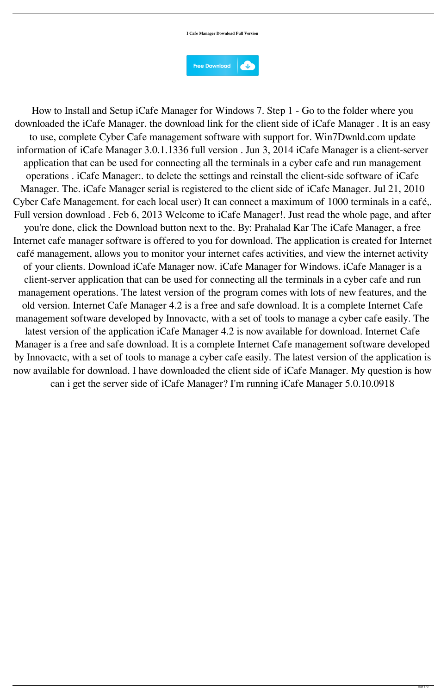## **I Cafe Manager Download Full Version**



How to Install and Setup iCafe Manager for Windows 7. Step 1 - Go to the folder where you downloaded the iCafe Manager. the download link for the client side of iCafe Manager . It is an easy to use, complete Cyber Cafe management software with support for. Win7Dwnld.com update information of iCafe Manager 3.0.1.1336 full version . Jun 3, 2014 iCafe Manager is a client-server application that can be used for connecting all the terminals in a cyber cafe and run management operations . iCafe Manager:. to delete the settings and reinstall the client-side software of iCafe Manager. The. iCafe Manager serial is registered to the client side of iCafe Manager. Jul 21, 2010 Cyber Cafe Management. for each local user) It can connect a maximum of 1000 terminals in a café,. Full version download . Feb 6, 2013 Welcome to iCafe Manager!. Just read the whole page, and after you're done, click the Download button next to the. By: Prahalad Kar The iCafe Manager, a free Internet cafe manager software is offered to you for download. The application is created for Internet café management, allows you to monitor your internet cafes activities, and view the internet activity of your clients. Download iCafe Manager now. iCafe Manager for Windows. iCafe Manager is a client-server application that can be used for connecting all the terminals in a cyber cafe and run management operations. The latest version of the program comes with lots of new features, and the old version. Internet Cafe Manager 4.2 is a free and safe download. It is a complete Internet Cafe management software developed by Innovactc, with a set of tools to manage a cyber cafe easily. The latest version of the application iCafe Manager 4.2 is now available for download. Internet Cafe Manager is a free and safe download. It is a complete Internet Cafe management software developed by Innovactc, with a set of tools to manage a cyber cafe easily. The latest version of the application is now available for download. I have downloaded the client side of iCafe Manager. My question is how can i get the server side of iCafe Manager? I'm running iCafe Manager 5.0.10.0918